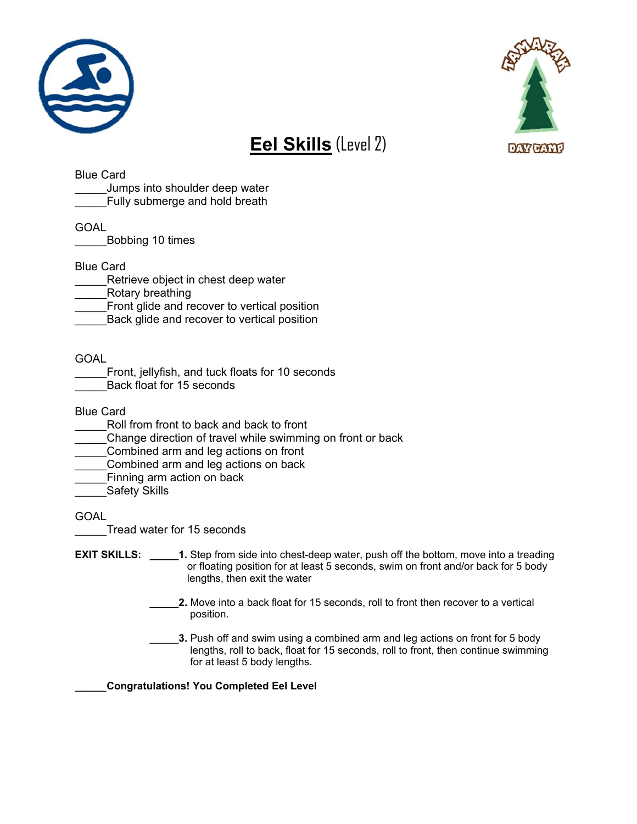



## **Eel Skills** (Level 2)

Blue Card

Jumps into shoulder deep water

Fully submerge and hold breath

GOAL

\_\_\_\_\_Bobbing 10 times

Blue Card

- Retrieve object in chest deep water
- \_\_\_\_\_Rotary breathing
- Front glide and recover to vertical position
- Back glide and recover to vertical position

GOAL

- Front, jellyfish, and tuck floats for 10 seconds
- Back float for 15 seconds

Blue Card

- Roll from front to back and back to front
- Change direction of travel while swimming on front or back
- Combined arm and leg actions on front
- Combined arm and leg actions on back
- Finning arm action on back
- Safety Skills

GOAL

\_\_\_\_\_Tread water for 15 seconds

- **EXIT SKILLS:** 1. Step from side into chest-deep water, push off the bottom, move into a treading or floating position for at least 5 seconds, swim on front and/or back for 5 body lengths, then exit the water
	- **\_\_\_\_\_2.** Move into a back float for 15 seconds, roll to front then recover to a vertical position.
	- **\_\_\_\_\_3.** Push off and swim using a combined arm and leg actions on front for 5 body lengths, roll to back, float for 15 seconds, roll to front, then continue swimming for at least 5 body lengths.

\_\_\_\_\_ **Congratulations! You Completed Eel Level**